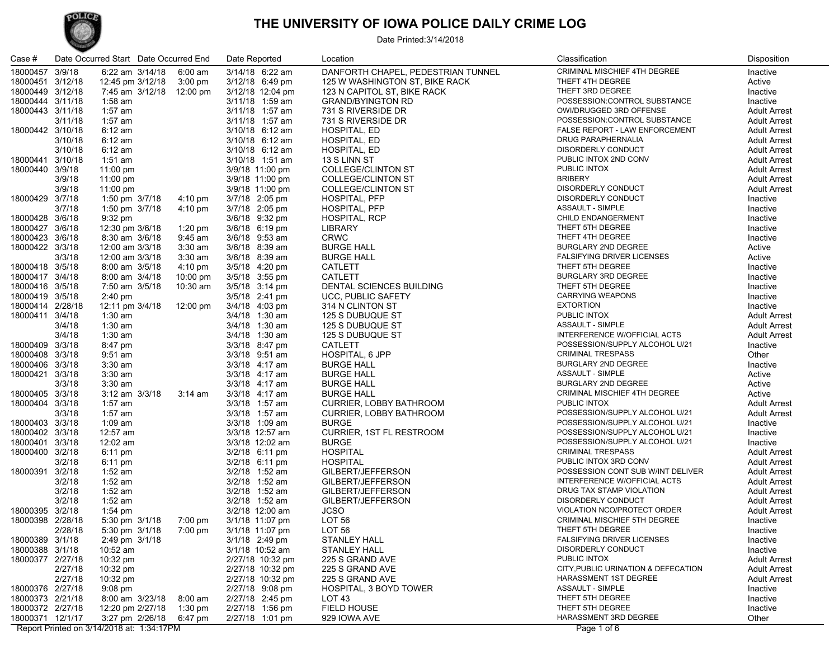## POLICE

#### **THE UNIVERSITY OF IOWA POLICE DAILY CRIME LOG**

Date Printed:3/14/2018

| Case #           |         | Date Occurred Start Date Occurred End |                    | Date Reported    | Location                           | Classification                      | Disposition         |
|------------------|---------|---------------------------------------|--------------------|------------------|------------------------------------|-------------------------------------|---------------------|
| 18000457 3/9/18  |         | 6:22 am 3/14/18                       | $6:00$ am          | 3/14/18 6:22 am  | DANFORTH CHAPEL, PEDESTRIAN TUNNEL | CRIMINAL MISCHIEF 4TH DEGREE        | Inactive            |
| 18000451 3/12/18 |         | 12:45 pm 3/12/18                      | $3:00 \text{ pm}$  | 3/12/18 6:49 pm  | 125 W WASHINGTON ST, BIKE RACK     | THEFT 4TH DEGREE                    | Active              |
| 18000449 3/12/18 |         | 7:45 am 3/12/18 12:00 pm              |                    | 3/12/18 12:04 pm | 123 N CAPITOL ST, BIKE RACK        | THEFT 3RD DEGREE                    | Inactive            |
| 18000444 3/11/18 |         | 1:58 am                               |                    | 3/11/18 1:59 am  | <b>GRAND/BYINGTON RD</b>           | POSSESSION:CONTROL SUBSTANCE        | Inactive            |
| 18000443 3/11/18 |         | $1:57$ am                             |                    | 3/11/18 1:57 am  | 731 S RIVERSIDE DR                 | OWI/DRUGGED 3RD OFFENSE             | <b>Adult Arrest</b> |
|                  | 3/11/18 | $1:57$ am                             |                    | 3/11/18 1:57 am  | 731 S RIVERSIDE DR                 | POSSESSION:CONTROL SUBSTANCE        | <b>Adult Arrest</b> |
| 18000442 3/10/18 |         | 6:12 am                               |                    | 3/10/18 6:12 am  | HOSPITAL, ED                       | FALSE REPORT - LAW ENFORCEMENT      | <b>Adult Arrest</b> |
|                  | 3/10/18 | 6:12 am                               |                    | 3/10/18 6:12 am  | HOSPITAL, ED                       | DRUG PARAPHERNALIA                  | <b>Adult Arrest</b> |
|                  | 3/10/18 | 6:12 am                               |                    | 3/10/18 6:12 am  | HOSPITAL, ED                       | DISORDERLY CONDUCT                  | <b>Adult Arrest</b> |
| 18000441 3/10/18 |         | 1:51 am                               |                    | 3/10/18 1:51 am  | 13 S LINN ST                       | PUBLIC INTOX 2ND CONV               | <b>Adult Arrest</b> |
| 18000440 3/9/18  |         | 11:00 pm                              |                    | 3/9/18 11:00 pm  | COLLEGE/CLINTON ST                 | PUBLIC INTOX                        | <b>Adult Arrest</b> |
|                  | 3/9/18  | 11:00 pm                              |                    | 3/9/18 11:00 pm  | <b>COLLEGE/CLINTON ST</b>          | <b>BRIBERY</b>                      | <b>Adult Arrest</b> |
|                  | 3/9/18  | 11:00 pm                              |                    | 3/9/18 11:00 pm  | <b>COLLEGE/CLINTON ST</b>          | DISORDERLY CONDUCT                  | <b>Adult Arrest</b> |
| 18000429 3/7/18  |         | 1:50 pm 3/7/18                        | 4:10 pm            | 3/7/18 2:05 pm   | HOSPITAL, PFP                      | <b>DISORDERLY CONDUCT</b>           | Inactive            |
|                  | 3/7/18  | 1:50 pm 3/7/18                        | 4:10 pm            | 3/7/18 2:05 pm   | HOSPITAL, PFP                      | ASSAULT - SIMPLE                    | Inactive            |
| 18000428 3/6/18  |         | 9:32 pm                               |                    | 3/6/18 9:32 pm   | HOSPITAL, RCP                      | CHILD ENDANGERMENT                  | Inactive            |
| 18000427 3/6/18  |         | 12:30 pm 3/6/18                       | 1:20 pm            | 3/6/18 6:19 pm   | <b>LIBRARY</b>                     | THEFT 5TH DEGREE                    | Inactive            |
| 18000423 3/6/18  |         | 8:30 am 3/6/18                        | $9:45$ am          | 3/6/18 9:53 am   | <b>CRWC</b>                        | THEFT 4TH DEGREE                    | Inactive            |
| 18000422 3/3/18  |         | 12:00 am 3/3/18                       | 3:30 am            | 3/6/18 8:39 am   | <b>BURGE HALL</b>                  | BURGLARY 2ND DEGREE                 | Active              |
|                  | 3/3/18  | 12:00 am 3/3/18                       | 3:30 am            | 3/6/18 8:39 am   | <b>BURGE HALL</b>                  | <b>FALSIFYING DRIVER LICENSES</b>   | Active              |
| 18000418 3/5/18  |         | 8:00 am 3/5/18                        | $4:10 \text{ pm}$  | 3/5/18 4:20 pm   | <b>CATLETT</b>                     | THEFT 5TH DEGREE                    | Inactive            |
| 18000417 3/4/18  |         | 8:00 am 3/4/18                        | $10:00 \text{ pm}$ | 3/5/18 3:55 pm   | <b>CATLETT</b>                     | BURGLARY 3RD DEGREE                 | Inactive            |
| 18000416 3/5/18  |         | 7:50 am 3/5/18                        | $10:30$ am         | 3/5/18 3:14 pm   | DENTAL SCIENCES BUILDING           | THEFT 5TH DEGREE                    | Inactive            |
| 18000419 3/5/18  |         | $2:40 \text{ pm}$                     |                    | 3/5/18 2:41 pm   | UCC, PUBLIC SAFETY                 | <b>CARRYING WEAPONS</b>             | Inactive            |
| 18000414 2/28/18 |         | 12:11 pm 3/4/18                       | 12:00 pm           | 3/4/18 4:03 pm   | 314 N CLINTON ST                   | <b>EXTORTION</b>                    | Inactive            |
| 18000411 3/4/18  |         | $1:30$ am                             |                    | 3/4/18 1:30 am   | 125 S DUBUQUE ST                   | PUBLIC INTOX                        | <b>Adult Arrest</b> |
|                  | 3/4/18  | $1:30$ am                             |                    | 3/4/18 1:30 am   | 125 S DUBUQUE ST                   | ASSAULT - SIMPLE                    | <b>Adult Arrest</b> |
|                  | 3/4/18  | $1:30$ am                             |                    | 3/4/18 1:30 am   | 125 S DUBUQUE ST                   | INTERFERENCE W/OFFICIAL ACTS        | <b>Adult Arrest</b> |
| 18000409 3/3/18  |         | 8:47 pm                               |                    | 3/3/18 8:47 pm   | <b>CATLETT</b>                     | POSSESSION/SUPPLY ALCOHOL U/21      | Inactive            |
| 18000408 3/3/18  |         | $9:51$ am                             |                    | 3/3/18 9:51 am   | HOSPITAL, 6 JPP                    | <b>CRIMINAL TRESPASS</b>            | Other               |
| 18000406 3/3/18  |         | $3:30$ am                             |                    | 3/3/18 4:17 am   | <b>BURGE HALL</b>                  | BURGLARY 2ND DEGREE                 | Inactive            |
| 18000421 3/3/18  |         | $3:30$ am                             |                    | 3/3/18 4:17 am   | <b>BURGE HALL</b>                  | ASSAULT - SIMPLE                    | Active              |
|                  | 3/3/18  | $3:30$ am                             |                    | 3/3/18 4:17 am   | <b>BURGE HALL</b>                  | BURGLARY 2ND DEGREE                 | Active              |
| 18000405 3/3/18  |         | 3:12 am 3/3/18                        | $3:14$ am          | 3/3/18 4:17 am   | <b>BURGE HALL</b>                  | CRIMINAL MISCHIEF 4TH DEGREE        | Active              |
| 18000404 3/3/18  |         | 1:57 am                               |                    | 3/3/18 1:57 am   | CURRIER, LOBBY BATHROOM            | PUBLIC INTOX                        | <b>Adult Arrest</b> |
|                  | 3/3/18  | 1:57 am                               |                    | 3/3/18 1:57 am   | CURRIER, LOBBY BATHROOM            | POSSESSION/SUPPLY ALCOHOL U/21      | <b>Adult Arrest</b> |
| 18000403 3/3/18  |         | 1:09 am                               |                    | 3/3/18 1:09 am   | <b>BURGE</b>                       | POSSESSION/SUPPLY ALCOHOL U/21      | Inactive            |
| 18000402 3/3/18  |         | 12:57 am                              |                    | 3/3/18 12:57 am  | <b>CURRIER, 1ST FL RESTROOM</b>    | POSSESSION/SUPPLY ALCOHOL U/21      | Inactive            |
| 18000401 3/3/18  |         | 12:02 am                              |                    | 3/3/18 12:02 am  | <b>BURGE</b>                       | POSSESSION/SUPPLY ALCOHOL U/21      | Inactive            |
| 18000400 3/2/18  |         | $6:11 \text{ pm}$                     |                    | 3/2/18 6:11 pm   | <b>HOSPITAL</b>                    | <b>CRIMINAL TRESPASS</b>            | <b>Adult Arrest</b> |
|                  | 3/2/18  | $6:11 \text{ pm}$                     |                    | 3/2/18 6:11 pm   | <b>HOSPITAL</b>                    | PUBLIC INTOX 3RD CONV               | <b>Adult Arrest</b> |
| 18000391 3/2/18  |         | $1:52$ am                             |                    | 3/2/18 1:52 am   | GILBERT/JEFFERSON                  | POSSESSION CONT SUB W/INT DELIVER   | <b>Adult Arrest</b> |
|                  | 3/2/18  | $1:52$ am                             |                    | 3/2/18 1:52 am   | GILBERT/JEFFERSON                  | INTERFERENCE W/OFFICIAL ACTS        | <b>Adult Arrest</b> |
|                  | 3/2/18  | $1:52$ am                             |                    | 3/2/18 1:52 am   | GILBERT/JEFFERSON                  | DRUG TAX STAMP VIOLATION            | <b>Adult Arrest</b> |
|                  | 3/2/18  | $1:52$ am                             |                    | 3/2/18 1:52 am   | GILBERT/JEFFERSON                  | DISORDERLY CONDUCT                  | <b>Adult Arrest</b> |
| 18000395 3/2/18  |         | $1:54$ pm                             |                    | 3/2/18 12:00 am  | <b>JCSO</b>                        | VIOLATION NCO/PROTECT ORDER         | <b>Adult Arrest</b> |
| 18000398 2/28/18 |         | 5:30 pm 3/1/18                        | 7:00 pm            | 3/1/18 11:07 pm  | LOT 56                             | CRIMINAL MISCHIEF 5TH DEGREE        | Inactive            |
|                  | 2/28/18 | 5:30 pm 3/1/18 7:00 pm                |                    | 3/1/18 11:07 pm  | LOT 56                             | THEFT 5TH DEGREE                    | Inactive            |
| 18000389 3/1/18  |         | 2:49 pm 3/1/18                        |                    | 3/1/18 2:49 pm   | <b>STANLEY HALL</b>                | <b>FALSIFYING DRIVER LICENSES</b>   | Inactive            |
| 18000388 3/1/18  |         | 10:52 am                              |                    | 3/1/18 10:52 am  | <b>STANLEY HALL</b>                | DISORDERLY CONDUCT                  | Inactive            |
| 18000377 2/27/18 |         | $10:32 \text{ pm}$                    |                    | 2/27/18 10:32 pm | 225 S GRAND AVE                    | PUBLIC INTOX                        | <b>Adult Arrest</b> |
|                  | 2/27/18 | 10:32 pm                              |                    | 2/27/18 10:32 pm | 225 S GRAND AVE                    | CITY, PUBLIC URINATION & DEFECATION | <b>Adult Arrest</b> |
|                  | 2/27/18 | $10:32 \text{ pm}$                    |                    | 2/27/18 10:32 pm | 225 S GRAND AVE                    | <b>HARASSMENT 1ST DEGREE</b>        | <b>Adult Arrest</b> |
| 18000376 2/27/18 |         | $9:08$ pm                             |                    | 2/27/18 9:08 pm  | HOSPITAL, 3 BOYD TOWER             | <b>ASSAULT - SIMPLE</b>             | Inactive            |
| 18000373 2/21/18 |         | 8:00 am 3/23/18                       | 8:00 am            | 2/27/18 2:45 pm  | LOT <sub>43</sub>                  | THEFT 5TH DEGREE                    | Inactive            |
| 18000372 2/27/18 |         | 12:20 pm 2/27/18                      | 1:30 pm            | 2/27/18 1:56 pm  | <b>FIELD HOUSE</b>                 | THEFT 5TH DEGREE                    | Inactive            |
| 18000371 12/1/17 |         | 3:27 pm 2/26/18                       | 6:47 pm            | 2/27/18 1:01 pm  | 929 IOWA AVE                       | HARASSMENT 3RD DEGREE               | Other               |
|                  |         |                                       |                    |                  |                                    |                                     |                     |

Report Printed on 3/14/2018 at: 1:34:17PM Page 1 of 6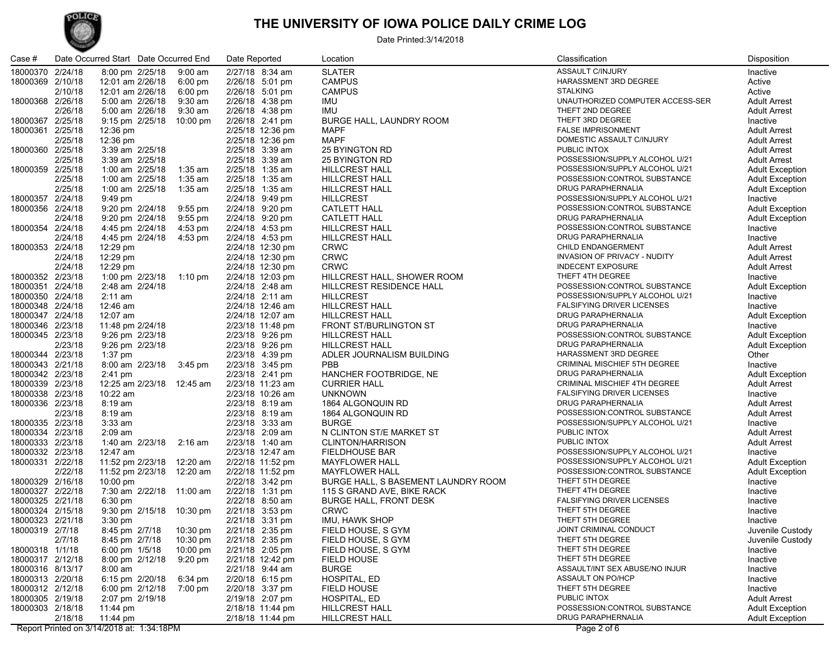# POLICE

#### **THE UNIVERSITY OF IOWA POLICE DAILY CRIME LOG**

Date Printed:3/14/2018

| Case #           |         | Date Occurred Start Date Occurred End      |                   | Date Reported                           | Location                            | Classification                      | Disposition            |
|------------------|---------|--------------------------------------------|-------------------|-----------------------------------------|-------------------------------------|-------------------------------------|------------------------|
| 18000370 2/24/18 |         | 8:00 pm 2/25/18 9:00 am                    |                   | 2/27/18 8:34 am                         | <b>SLATER</b>                       | ASSAULT C/INJURY                    | Inactive               |
| 18000369 2/10/18 |         | 12:01 am 2/26/18                           | $6:00 \text{ pm}$ | 2/26/18 5:01 pm                         | <b>CAMPUS</b>                       | HARASSMENT 3RD DEGREE               | Active                 |
|                  | 2/10/18 | 12:01 am 2/26/18                           | $6:00 \text{ pm}$ | 2/26/18 5:01 pm                         | <b>CAMPUS</b>                       | <b>STALKING</b>                     | Active                 |
| 18000368 2/26/18 |         | 5:00 am 2/26/18 9:30 am                    |                   | 2/26/18 4:38 pm                         | IMU                                 | UNAUTHORIZED COMPUTER ACCESS-SER    | <b>Adult Arrest</b>    |
|                  | 2/26/18 | 5:00 am 2/26/18 9:30 am                    |                   | 2/26/18 4:38 pm                         | <b>IMU</b>                          | THEFT 2ND DEGREE                    | <b>Adult Arrest</b>    |
| 18000367 2/25/18 |         | 9:15 pm 2/25/18 10:00 pm                   |                   | 2/26/18 2:41 pm                         | BURGE HALL, LAUNDRY ROOM            | THEFT 3RD DEGREE                    | Inactive               |
| 18000361 2/25/18 |         | 12:36 pm                                   |                   | 2/25/18 12:36 pm                        | <b>MAPF</b>                         | <b>FALSE IMPRISONMENT</b>           | <b>Adult Arrest</b>    |
|                  | 2/25/18 | 12:36 pm                                   |                   | 2/25/18 12:36 pm                        | <b>MAPF</b>                         | DOMESTIC ASSAULT C/INJURY           | <b>Adult Arrest</b>    |
| 18000360 2/25/18 |         | 3:39 am 2/25/18                            |                   | 2/25/18 3:39 am                         | 25 BYINGTON RD                      | PUBLIC INTOX                        | <b>Adult Arrest</b>    |
|                  |         |                                            |                   |                                         |                                     | POSSESSION/SUPPLY ALCOHOL U/21      |                        |
|                  | 2/25/18 | 3:39 am 2/25/18<br>1:00 am 2/25/18 1:35 am |                   | 2/25/18 3:39 am                         | 25 BYINGTON RD                      | POSSESSION/SUPPLY ALCOHOL U/21      | <b>Adult Arrest</b>    |
| 18000359 2/25/18 |         |                                            |                   | 2/25/18 1:35 am                         | <b>HILLCREST HALL</b>               |                                     | <b>Adult Exception</b> |
|                  | 2/25/18 | 1:00 am 2/25/18 1:35 am                    |                   | 2/25/18 1:35 am                         | <b>HILLCREST HALL</b>               | POSSESSION:CONTROL SUBSTANCE        | <b>Adult Exception</b> |
|                  | 2/25/18 | 1:00 am 2/25/18                            | 1:35 am           | 2/25/18 1:35 am                         | <b>HILLCREST HALL</b>               | DRUG PARAPHERNALIA                  | <b>Adult Exception</b> |
| 18000357 2/24/18 |         | $9:49$ pm                                  |                   | 2/24/18 9:49 pm                         | <b>HILLCREST</b>                    | POSSESSION/SUPPLY ALCOHOL U/21      | Inactive               |
| 18000356 2/24/18 |         | 9:20 pm 2/24/18 9:55 pm                    |                   | 2/24/18 9:20 pm                         | <b>CATLETT HALL</b>                 | POSSESSION:CONTROL SUBSTANCE        | <b>Adult Exception</b> |
|                  | 2/24/18 | 9:20 pm 2/24/18 9:55 pm                    |                   | 2/24/18 9:20 pm                         | <b>CATLETT HALL</b>                 | DRUG PARAPHERNALIA                  | <b>Adult Exception</b> |
| 18000354 2/24/18 |         | 4:45 pm 2/24/18                            | 4:53 pm           | 2/24/18 4:53 pm                         | <b>HILLCREST HALL</b>               | POSSESSION:CONTROL SUBSTANCE        | Inactive               |
|                  | 2/24/18 | 4:45 pm 2/24/18                            | 4:53 pm           | 2/24/18 4:53 pm                         | <b>HILLCREST HALL</b>               | DRUG PARAPHERNALIA                  | Inactive               |
| 18000353 2/24/18 |         | $12:29 \text{ pm}$                         |                   | 2/24/18 12:30 pm                        | <b>CRWC</b>                         | CHILD ENDANGERMENT                  | <b>Adult Arrest</b>    |
|                  | 2/24/18 | 12:29 pm                                   |                   | 2/24/18 12:30 pm                        | <b>CRWC</b>                         | INVASION OF PRIVACY - NUDITY        | <b>Adult Arrest</b>    |
|                  | 2/24/18 | 12:29 pm                                   |                   | 2/24/18 12:30 pm                        | <b>CRWC</b>                         | <b>INDECENT EXPOSURE</b>            | <b>Adult Arrest</b>    |
| 18000352 2/23/18 |         | 1:00 pm 2/23/18 1:10 pm                    |                   | 2/24/18 12:03 pm                        | HILLCREST HALL, SHOWER ROOM         | THEFT 4TH DEGREE                    | Inactive               |
| 18000351 2/24/18 |         | 2:48 am 2/24/18                            |                   | 2/24/18 2:48 am                         | <b>HILLCREST RESIDENCE HALL</b>     | POSSESSION:CONTROL SUBSTANCE        | <b>Adult Exception</b> |
| 18000350 2/24/18 |         | $2:11$ am                                  |                   | 2/24/18 2:11 am                         | <b>HILLCREST</b>                    | POSSESSION/SUPPLY ALCOHOL U/21      | Inactive               |
| 18000348 2/24/18 |         | 12:46 am                                   |                   | 2/24/18 12:46 am                        | HILLCREST HALL                      | <b>FALSIFYING DRIVER LICENSES</b>   | Inactive               |
| 18000347 2/24/18 |         | 12:07 am                                   |                   | 2/24/18 12:07 am                        | <b>HILLCREST HALL</b>               | DRUG PARAPHERNALIA                  | <b>Adult Exception</b> |
| 18000346 2/23/18 |         | 11:48 pm 2/24/18                           |                   | 2/23/18 11:48 pm                        | FRONT ST/BURLINGTON ST              | DRUG PARAPHERNALIA                  | Inactive               |
| 18000345 2/23/18 |         | 9:26 pm 2/23/18                            |                   | 2/23/18 9:26 pm                         | <b>HILLCREST HALL</b>               | POSSESSION:CONTROL SUBSTANCE        | <b>Adult Exception</b> |
|                  | 2/23/18 | 9:26 pm 2/23/18                            |                   | 2/23/18 9:26 pm                         | <b>HILLCREST HALL</b>               | DRUG PARAPHERNALIA                  | <b>Adult Exception</b> |
| 18000344 2/23/18 |         | $1:37$ pm                                  |                   | 2/23/18 4:39 pm                         | ADLER JOURNALISM BUILDING           | HARASSMENT 3RD DEGREE               | Other                  |
| 18000343 2/21/18 |         | 8:00 am 2/23/18 3:45 pm                    |                   | 2/23/18 3:45 pm                         | <b>PBB</b>                          | <b>CRIMINAL MISCHIEF 5TH DEGREE</b> | Inactive               |
| 18000342 2/23/18 |         | $2:41 \text{ pm}$                          |                   | 2/23/18 2:41 pm                         | HANCHER FOOTBRIDGE, NE              | DRUG PARAPHERNALIA                  | <b>Adult Exception</b> |
| 18000339 2/23/18 |         | 12:25 am 2/23/18 12:45 am                  |                   | 2/23/18 11:23 am                        | <b>CURRIER HALL</b>                 | <b>CRIMINAL MISCHIEF 4TH DEGREE</b> | <b>Adult Arrest</b>    |
| 18000338 2/23/18 |         | $10:22$ am                                 |                   | 2/23/18 10:26 am                        | <b>UNKNOWN</b>                      | <b>FALSIFYING DRIVER LICENSES</b>   | Inactive               |
| 18000336 2/23/18 |         | 8:19 am                                    |                   | 2/23/18 8:19 am                         | 1864 ALGONQUIN RD                   | DRUG PARAPHERNALIA                  | <b>Adult Arrest</b>    |
|                  | 2/23/18 | 8:19 am                                    |                   | 2/23/18 8:19 am                         | 1864 ALGONQUIN RD                   | POSSESSION:CONTROL SUBSTANCE        | <b>Adult Arrest</b>    |
| 18000335 2/23/18 |         | $3:33$ am                                  |                   | 2/23/18 3:33 am                         | <b>BURGE</b>                        | POSSESSION/SUPPLY ALCOHOL U/21      | Inactive               |
| 18000334 2/23/18 |         | $2:09$ am                                  |                   | 2/23/18 2:09 am                         | N CLINTON ST/E MARKET ST            | PUBLIC INTOX                        | <b>Adult Arrest</b>    |
| 18000333 2/23/18 |         | 1:40 am 2/23/18 2:16 am                    |                   | 2/23/18 1:40 am                         | <b>CLINTON/HARRISON</b>             | PUBLIC INTOX                        | <b>Adult Arrest</b>    |
| 18000332 2/23/18 |         | 12:47 am                                   |                   | 2/23/18 12:47 am                        | <b>FIELDHOUSE BAR</b>               | POSSESSION/SUPPLY ALCOHOL U/21      | Inactive               |
| 18000331 2/22/18 |         | 11:52 pm 2/23/18 12:20 am                  |                   | 2/22/18 11:52 pm                        | <b>MAYFLOWER HALL</b>               | POSSESSION/SUPPLY ALCOHOL U/21      | <b>Adult Exception</b> |
|                  | 2/22/18 | 11:52 pm 2/23/18 12:20 am                  |                   | 2/22/18 11:52 pm                        | <b>MAYFLOWER HALL</b>               | POSSESSION:CONTROL SUBSTANCE        | <b>Adult Exception</b> |
| 18000329 2/16/18 |         | $10:00 \text{ pm}$                         |                   | 2/22/18 3:42 pm                         | BURGE HALL, S BASEMENT LAUNDRY ROOM | THEFT 5TH DEGREE                    | Inactive               |
| 18000327 2/22/18 |         | 7:30 am 2/22/18 11:00 am                   |                   | 2/22/18 1:31 pm                         | 115 S GRAND AVE, BIKE RACK          | THEFT 4TH DEGREE                    | Inactive               |
| 18000325 2/21/18 |         | $6:30 \text{ pm}$                          |                   | 2/22/18 8:50 am                         | BURGE HALL, FRONT DESK              | <b>FALSIFYING DRIVER LICENSES</b>   | Inactive               |
| 18000324 2/15/18 |         | 9:30 pm 2/15/18 10:30 pm                   |                   | 2/21/18 3:53 pm                         | <b>CRWC</b>                         | THEFT 5TH DEGREE                    | Inactive               |
| 18000323 2/21/18 |         | $3:30$ pm                                  |                   | 2/21/18 3:31 pm                         | IMU, HAWK SHOP                      | THEFT 5TH DEGREE                    | Inactive               |
| 18000319 2/7/18  |         |                                            |                   | 8:45 pm 2/7/18 10:30 pm 2/21/18 2:35 pm | FIELD HOUSE, S GYM                  | JOINT CRIMINAL CONDUCT              | Juvenile Custody       |
|                  | 2/7/18  | 8:45 pm 2/7/18                             | 10:30 pm          | 2/21/18 2:35 pm                         | FIELD HOUSE, S GYM                  | THEFT 5TH DEGREE                    | Juvenile Custody       |
| 18000318 1/1/18  |         | 6:00 pm 1/5/18                             | 10:00 pm          | 2/21/18 2:05 pm                         | FIELD HOUSE, S GYM                  | THEFT 5TH DEGREE                    | Inactive               |
| 18000317 2/12/18 |         | 8:00 pm 2/12/18                            | 9:20 pm           | 2/21/18 12:42 pm                        | <b>FIELD HOUSE</b>                  | THEFT 5TH DEGREE                    | Inactive               |
| 18000316 8/13/17 |         | $8:00$ am                                  |                   | 2/21/18 9:44 am                         | <b>BURGE</b>                        | ASSAULT/INT SEX ABUSE/NO INJUR      | Inactive               |
| 18000313 2/20/18 |         | 6:15 pm 2/20/18                            | 6:34 pm           | 2/20/18 6:15 pm                         | HOSPITAL, ED                        | ASSAULT ON PO/HCP                   | Inactive               |
| 18000312 2/12/18 |         | 6:00 pm 2/12/18                            | 7:00 pm           | 2/20/18 3:37 pm                         | FIELD HOUSE                         | THEFT 5TH DEGREE                    | Inactive               |
| 18000305 2/19/18 |         | 2:07 pm 2/19/18                            |                   | 2/19/18 2:07 pm                         | HOSPITAL, ED                        | PUBLIC INTOX                        | <b>Adult Arrest</b>    |
| 18000303 2/18/18 |         | 11:44 pm                                   |                   | 2/18/18 11:44 pm                        | <b>HILLCREST HALL</b>               | POSSESSION:CONTROL SUBSTANCE        | <b>Adult Exception</b> |
|                  | 2/18/18 | 11:44 pm                                   |                   | 2/18/18 11:44 pm                        | HILLCREST HALL                      | DRUG PARAPHERNALIA                  | <b>Adult Exception</b> |

Report Printed on 3/14/2018 at: 1:34:18PM Page 2 of 6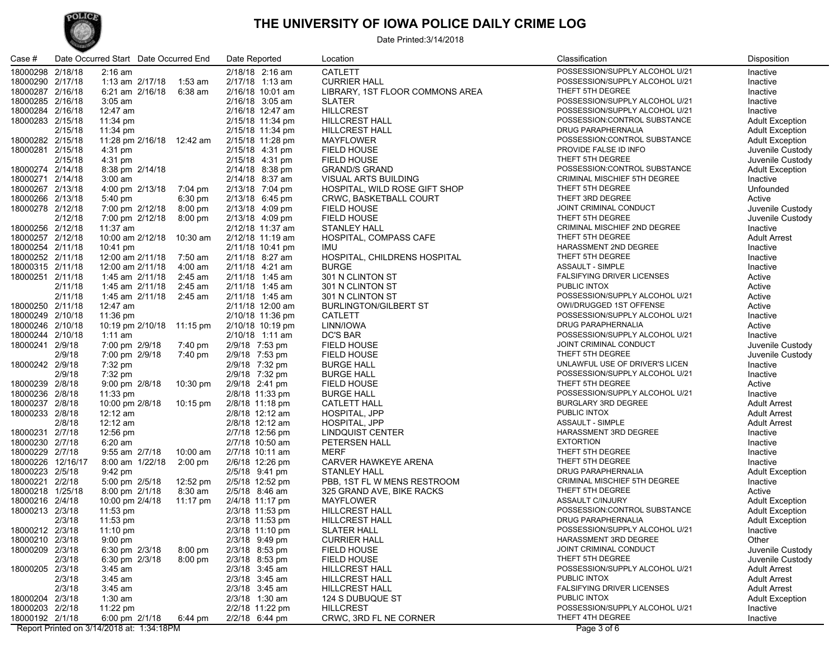## POLICE

#### **THE UNIVERSITY OF IOWA POLICE DAILY CRIME LOG**

Date Printed:3/14/2018

| Case #                               |                    | Date Occurred Start Date Occurred End |                              | Date Reported                        | Location                                       | Classification                      | Disposition                                |
|--------------------------------------|--------------------|---------------------------------------|------------------------------|--------------------------------------|------------------------------------------------|-------------------------------------|--------------------------------------------|
| 18000298 2/18/18                     |                    | $2:16$ am                             |                              | 2/18/18 2:16 am                      | <b>CATLETT</b>                                 | POSSESSION/SUPPLY ALCOHOL U/21      | Inactive                                   |
| 18000290 2/17/18                     |                    | 1:13 am 2/17/18                       | 1:53 am                      | 2/17/18 1:13 am                      | <b>CURRIER HALL</b>                            | POSSESSION/SUPPLY ALCOHOL U/21      | Inactive                                   |
| 18000287 2/16/18                     |                    | 6:21 am 2/16/18                       | 6:38 am                      | 2/16/18 10:01 am                     | LIBRARY, 1ST FLOOR COMMONS AREA                | THEFT 5TH DEGREE                    | Inactive                                   |
| 18000285 2/16/18                     |                    | $3:05$ am                             |                              | 2/16/18 3:05 am                      | <b>SLATER</b>                                  | POSSESSION/SUPPLY ALCOHOL U/21      | Inactive                                   |
| 18000284 2/16/18                     |                    | 12:47 am                              |                              | 2/16/18 12:47 am                     | <b>HILLCREST</b>                               | POSSESSION/SUPPLY ALCOHOL U/21      | Inactive                                   |
| 18000283 2/15/18                     |                    | 11:34 pm                              |                              | 2/15/18 11:34 pm                     | <b>HILLCREST HALL</b>                          | POSSESSION:CONTROL SUBSTANCE        | <b>Adult Exception</b>                     |
|                                      | 2/15/18            | 11:34 pm                              |                              | 2/15/18 11:34 pm                     | <b>HILLCREST HALL</b>                          | DRUG PARAPHERNALIA                  | <b>Adult Exception</b>                     |
| 18000282 2/15/18                     |                    | 11:28 pm 2/16/18 12:42 am             |                              | 2/15/18 11:28 pm                     | MAYFLOWER                                      | POSSESSION:CONTROL SUBSTANCE        | <b>Adult Exception</b>                     |
| 18000281 2/15/18                     |                    | 4:31 pm                               |                              | 2/15/18 4:31 pm                      | <b>FIELD HOUSE</b>                             | PROVIDE FALSE ID INFO               | Juvenile Custody                           |
|                                      | 2/15/18            | 4:31 pm                               |                              | 2/15/18 4:31 pm                      | <b>FIELD HOUSE</b>                             | THEFT 5TH DEGREE                    | Juvenile Custody                           |
| 18000274 2/14/18                     |                    | 8:38 pm 2/14/18                       |                              | 2/14/18 8:38 pm                      | <b>GRAND/S GRAND</b>                           | POSSESSION:CONTROL SUBSTANCE        | <b>Adult Exception</b>                     |
| 18000271 2/14/18                     |                    | $3:00$ am                             |                              | 2/14/18 8:37 am                      | <b>VISUAL ARTS BUILDING</b>                    | <b>CRIMINAL MISCHIEF 5TH DEGREE</b> | Inactive                                   |
| 18000267 2/13/18                     |                    | 4:00 pm 2/13/18                       |                              | 2/13/18 7:04 pm                      | HOSPITAL, WILD ROSE GIFT SHOP                  | THEFT 5TH DEGREE                    | Unfounded                                  |
| 18000266 2/13/18                     |                    | 5:40 pm                               | 7:04 pm<br>$6:30 \text{ pm}$ | 2/13/18 6:45 pm                      | <b>CRWC, BASKETBALL COURT</b>                  | THEFT 3RD DEGREE                    | Active                                     |
| 18000278 2/12/18                     |                    | 7:00 pm 2/12/18                       | $8:00 \text{ pm}$            | 2/13/18 4:09 pm                      | <b>FIELD HOUSE</b>                             | JOINT CRIMINAL CONDUCT              | Juvenile Custody                           |
|                                      | 2/12/18            | 7:00 pm 2/12/18                       | 8:00 pm                      | 2/13/18 4:09 pm                      | <b>FIELD HOUSE</b>                             | THEFT 5TH DEGREE                    | Juvenile Custody                           |
| 18000256 2/12/18                     |                    | 11:37 am                              |                              | 2/12/18 11:37 am                     | <b>STANLEY HALL</b>                            | CRIMINAL MISCHIEF 2ND DEGREE        | Inactive                                   |
| 18000257 2/12/18                     |                    | 10:00 am 2/12/18 10:30 am             |                              | 2/12/18 11:19 am                     | HOSPITAL, COMPASS CAFE                         | THEFT 5TH DEGREE                    | <b>Adult Arrest</b>                        |
|                                      |                    |                                       |                              |                                      | IMU                                            | HARASSMENT 2ND DEGREE               |                                            |
| 18000254 2/11/18<br>18000252 2/11/18 |                    | 10:41 pm<br>12:00 am 2/11/18          | 7:50 am                      | 2/11/18 10:41 pm<br>2/11/18 8:27 am  | HOSPITAL, CHILDRENS HOSPITAL                   | THEFT 5TH DEGREE                    | Inactive<br>Inactive                       |
| 18000315 2/11/18                     |                    |                                       |                              |                                      |                                                | ASSAULT - SIMPLE                    |                                            |
| 18000251 2/11/18                     |                    | 12:00 am 2/11/18<br>1:45 am 2/11/18   | $4:00$ am<br>2:45 am         | 2/11/18 4:21 am<br>2/11/18 1:45 am   | <b>BURGE</b><br>301 N CLINTON ST               | FALSIFYING DRIVER LICENSES          | Inactive<br>Active                         |
|                                      |                    |                                       | $2:45$ am                    |                                      |                                                | PUBLIC INTOX                        |                                            |
|                                      | 2/11/18<br>2/11/18 | 1:45 am 2/11/18<br>1:45 am 2/11/18    | 2:45 am                      | 2/11/18 1:45 am<br>2/11/18 1:45 am   | 301 N CLINTON ST<br>301 N CLINTON ST           | POSSESSION/SUPPLY ALCOHOL U/21      | Active<br>Active                           |
|                                      |                    | 12:47 am                              |                              |                                      |                                                | OWI/DRUGGED 1ST OFFENSE             |                                            |
| 18000250 2/11/18<br>18000249 2/10/18 |                    | 11:36 pm                              |                              | 2/11/18 12:00 am<br>2/10/18 11:36 pm | <b>BURLINGTON/GILBERT ST</b><br><b>CATLETT</b> | POSSESSION/SUPPLY ALCOHOL U/21      | Active<br>Inactive                         |
| 18000246 2/10/18                     |                    |                                       |                              |                                      |                                                | <b>DRUG PARAPHERNALIA</b>           |                                            |
|                                      |                    | 10:19 pm 2/10/18 11:15 pm             |                              | 2/10/18 10:19 pm                     | LINN/IOWA<br><b>DC'S BAR</b>                   | POSSESSION/SUPPLY ALCOHOL U/21      | Active                                     |
| 18000244 2/10/18                     |                    | $1:11$ am                             |                              | 2/10/18 1:11 am<br>2/9/18 7:53 pm    | <b>FIELD HOUSE</b>                             | JOINT CRIMINAL CONDUCT              | Inactive                                   |
| 18000241 2/9/18                      | 2/9/18             | 7:00 pm 2/9/18                        | 7:40 pm                      |                                      | FIELD HOUSE                                    | THEFT 5TH DEGREE                    | Juvenile Custody                           |
|                                      |                    | 7:00 pm 2/9/18                        | 7:40 pm                      | 2/9/18 7:53 pm                       |                                                | UNLAWFUL USE OF DRIVER'S LICEN      | Juvenile Custody                           |
| 18000242 2/9/18                      |                    | 7:32 pm                               |                              | 2/9/18 7:32 pm                       | <b>BURGE HALL</b>                              | POSSESSION/SUPPLY ALCOHOL U/21      | Inactive                                   |
|                                      | 2/9/18             | 7:32 pm                               |                              | 2/9/18 7:32 pm<br>2/9/18 2:41 pm     | <b>BURGE HALL</b>                              | THEFT 5TH DEGREE                    | Inactive                                   |
| 18000239 2/8/18                      |                    | 9:00 pm 2/8/18                        | 10:30 pm                     |                                      | <b>FIELD HOUSE</b>                             | POSSESSION/SUPPLY ALCOHOL U/21      | Active                                     |
| 18000236 2/8/18                      |                    | 11:33 pm                              |                              | 2/8/18 11:33 pm                      | <b>BURGE HALL</b>                              | <b>BURGLARY 3RD DEGREE</b>          | Inactive                                   |
| 18000237 2/8/18<br>18000233 2/8/18   |                    | 10:00 pm 2/8/18                       | 10:15 pm                     | 2/8/18 11:18 pm                      | <b>CATLETT HALL</b>                            | PUBLIC INTOX                        | <b>Adult Arrest</b>                        |
|                                      |                    | $12:12$ am                            |                              | 2/8/18 12:12 am                      | HOSPITAL, JPP                                  | ASSAULT - SIMPLE                    | <b>Adult Arrest</b>                        |
|                                      | 2/8/18             | 12:12 am                              |                              | 2/8/18 12:12 am                      | HOSPITAL, JPP                                  | HARASSMENT 3RD DEGREE               | <b>Adult Arrest</b>                        |
| 18000231 2/7/18<br>18000230 2/7/18   |                    | $12:56 \text{ pm}$                    |                              | 2/7/18 12:56 pm<br>2/7/18 10:50 am   | LINDQUIST CENTER<br>PETERSEN HALL              | <b>EXTORTION</b>                    | Inactive                                   |
|                                      |                    | 6:20 am                               |                              | 2/7/18 10:11 am                      | <b>MERF</b>                                    | THEFT 5TH DEGREE                    | Inactive                                   |
| 18000229 2/7/18<br>18000226 12/16/17 |                    | 9:55 am 2/7/18<br>8:00 am 1/22/18     | 10:00 am<br>$2:00$ pm        | 2/6/18 12:26 pm                      | CARVER HAWKEYE ARENA                           | THEFT 5TH DEGREE                    | Inactive<br>Inactive                       |
| 18000223 2/5/18                      |                    | 9:42 pm                               |                              | 2/5/18 9:41 pm                       | <b>STANLEY HALL</b>                            | <b>DRUG PARAPHERNALIA</b>           |                                            |
| 18000221 2/2/18                      |                    | 5:00 pm 2/5/18                        | 12:52 pm                     | 2/5/18 12:52 pm                      | PBB, 1ST FL W MENS RESTROOM                    | CRIMINAL MISCHIEF 5TH DEGREE        | <b>Adult Exception</b>                     |
| 18000218 1/25/18                     |                    | 8:00 pm 2/1/18                        | 8:30 am                      | 2/5/18 8:46 am                       | 325 GRAND AVE, BIKE RACKS                      | THEFT 5TH DEGREE                    | Inactive<br>Active                         |
| 18000216 2/4/18                      |                    | 10:00 pm 2/4/18                       | 11:17 pm                     | 2/4/18 11:17 pm                      | MAYFLOWER                                      | ASSAULT C/INJURY                    | <b>Adult Exception</b>                     |
| 18000213 2/3/18                      |                    | 11:53 pm                              |                              | 2/3/18 11:53 pm                      | <b>HILLCREST HALL</b>                          | POSSESSION:CONTROL SUBSTANCE        | <b>Adult Exception</b>                     |
|                                      | 2/3/18             |                                       |                              | 2/3/18 11:53 pm                      | <b>HILLCREST HALL</b>                          | DRUG PARAPHERNALIA                  |                                            |
| 18000212 2/3/18                      |                    | 11:53 pm<br>11:10 pm                  |                              | 2/3/18 11:10 pm                      | <b>SLATER HALL</b>                             | POSSESSION/SUPPLY ALCOHOL U/21      | <b>Adult Exception</b><br>Inactive         |
| 18000210 2/3/18                      |                    |                                       |                              | 2/3/18 9:49 pm                       | <b>CURRIER HALL</b>                            | HARASSMENT 3RD DEGREE               |                                            |
| 18000209 2/3/18                      |                    | $9:00 \text{ pm}$<br>6:30 pm 2/3/18   | $8:00 \text{ pm}$            | 2/3/18 8:53 pm                       | FIELD HOUSE                                    | JOINT CRIMINAL CONDUCT              | Other<br>Juvenile Custody                  |
|                                      |                    | 6:30 pm 2/3/18                        |                              | 2/3/18 8:53 pm                       | FIELD HOUSE                                    | THEFT 5TH DEGREE                    |                                            |
| 18000205 2/3/18                      | 2/3/18             | 3:45 am                               | $8:00 \text{ pm}$            | 2/3/18 3:45 am                       | <b>HILLCREST HALL</b>                          | POSSESSION/SUPPLY ALCOHOL U/21      | Juvenile Custody<br><b>Adult Arrest</b>    |
|                                      |                    | $3:45$ am                             |                              |                                      | <b>HILLCREST HALL</b>                          | PUBLIC INTOX                        |                                            |
|                                      | 2/3/18<br>2/3/18   | $3:45$ am                             |                              | 2/3/18 3:45 am<br>2/3/18 3:45 am     | <b>HILLCREST HALL</b>                          | <b>FALSIFYING DRIVER LICENSES</b>   | <b>Adult Arrest</b><br><b>Adult Arrest</b> |
| 18000204 2/3/18                      |                    | $1:30$ am                             |                              | 2/3/18 1:30 am                       | 124 S DUBUQUE ST                               | PUBLIC INTOX                        | <b>Adult Exception</b>                     |
| 18000203 2/2/18                      |                    | 11:22 $pm$                            |                              | 2/2/18 11:22 pm                      | <b>HILLCREST</b>                               | POSSESSION/SUPPLY ALCOHOL U/21      | Inactive                                   |
| 18000192 2/1/18                      |                    |                                       |                              | 2/2/18 6:44 pm                       | CRWC, 3RD FL NE CORNER                         | THEFT 4TH DEGREE                    |                                            |
|                                      |                    | 6:00 pm 2/1/18                        | 6:44 pm                      |                                      |                                                |                                     | Inactive                                   |

Report Printed on 3/14/2018 at: 1:34:18PM Page 3 of 6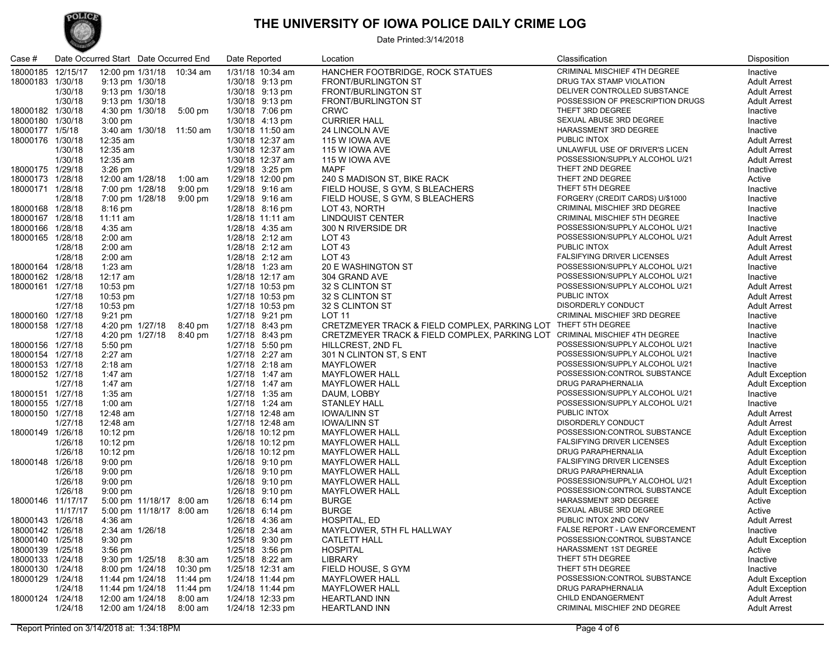#### **THE UNIVERSITY OF IOWA POLICE DAILY CRIME LOG**



#### Date Printed:3/14/2018

|                  | Case #            |          | Date Occurred Start Date Occurred End |                    | Date Reported    | Location                                                                   | Classification                    | Disposition            |
|------------------|-------------------|----------|---------------------------------------|--------------------|------------------|----------------------------------------------------------------------------|-----------------------------------|------------------------|
|                  | 18000185 12/15/17 |          | 12:00 pm 1/31/18 10:34 am             |                    | 1/31/18 10:34 am | HANCHER FOOTBRIDGE, ROCK STATUES                                           | CRIMINAL MISCHIEF 4TH DEGREE      | Inactive               |
|                  | 18000183 1/30/18  |          | 9:13 pm 1/30/18                       |                    | 1/30/18 9:13 pm  | <b>FRONT/BURLINGTON ST</b>                                                 | DRUG TAX STAMP VIOLATION          | <b>Adult Arrest</b>    |
|                  |                   | 1/30/18  | 9:13 pm 1/30/18                       |                    | 1/30/18 9:13 pm  | <b>FRONT/BURLINGTON ST</b>                                                 | DELIVER CONTROLLED SUBSTANCE      | <b>Adult Arrest</b>    |
|                  |                   | 1/30/18  | 9:13 pm 1/30/18                       |                    | 1/30/18 9:13 pm  | FRONT/BURLINGTON ST                                                        | POSSESSION OF PRESCRIPTION DRUGS  | <b>Adult Arrest</b>    |
|                  | 18000182 1/30/18  |          |                                       | 5:00 pm            | 1/30/18 7:06 pm  | <b>CRWC</b>                                                                | THEFT 3RD DEGREE                  |                        |
|                  | 18000180 1/30/18  |          | 4:30 pm 1/30/18                       |                    |                  |                                                                            | SEXUAL ABUSE 3RD DEGREE           | Inactive               |
|                  |                   |          | $3:00$ pm                             |                    | 1/30/18 4:13 pm  | <b>CURRIER HALL</b>                                                        | HARASSMENT 3RD DEGREE             | Inactive               |
|                  | 18000177 1/5/18   |          | 3:40 am 1/30/18 11:50 am              |                    | 1/30/18 11:50 am | 24 LINCOLN AVE                                                             |                                   | Inactive               |
|                  | 18000176 1/30/18  |          | 12:35 am                              |                    | 1/30/18 12:37 am | 115 W IOWA AVE                                                             | PUBLIC INTOX                      | <b>Adult Arrest</b>    |
|                  |                   | 1/30/18  | 12:35 am                              |                    | 1/30/18 12:37 am | 115 W IOWA AVE                                                             | UNLAWFUL USE OF DRIVER'S LICEN    | <b>Adult Arrest</b>    |
|                  |                   | 1/30/18  | 12:35 am                              |                    | 1/30/18 12:37 am | 115 W IOWA AVE                                                             | POSSESSION/SUPPLY ALCOHOL U/21    | <b>Adult Arrest</b>    |
|                  | 18000175 1/29/18  |          | $3:26$ pm                             |                    | 1/29/18 3:25 pm  | MAPF                                                                       | THEFT 2ND DEGREE                  | Inactive               |
|                  | 18000173 1/28/18  |          | 12:00 am 1/28/18                      | $1:00$ am          | 1/29/18 12:00 pm | 240 S MADISON ST, BIKE RACK                                                | THEFT 2ND DEGREE                  | Active                 |
|                  | 18000171 1/28/18  |          | 7:00 pm 1/28/18                       | $9:00$ pm          | 1/29/18 9:16 am  | FIELD HOUSE, S GYM, S BLEACHERS                                            | THEFT 5TH DEGREE                  | Inactive               |
|                  |                   | 1/28/18  | 7:00 pm 1/28/18                       | $9:00 \text{ pm}$  | 1/29/18 9:16 am  | FIELD HOUSE, S GYM, S BLEACHERS                                            | FORGERY (CREDIT CARDS) U/\$1000   | Inactive               |
|                  | 18000168 1/28/18  |          | 8:16 pm                               |                    | 1/28/18 8:16 pm  | LOT 43, NORTH                                                              | CRIMINAL MISCHIEF 3RD DEGREE      | Inactive               |
|                  | 18000167 1/28/18  |          | $11:11$ am                            |                    | 1/28/18 11:11 am | LINDQUIST CENTER                                                           | CRIMINAL MISCHIEF 5TH DEGREE      | Inactive               |
|                  | 18000166 1/28/18  |          | 4:35 am                               |                    | 1/28/18 4:35 am  | 300 N RIVERSIDE DR                                                         | POSSESSION/SUPPLY ALCOHOL U/21    | Inactive               |
|                  | 18000165 1/28/18  |          | $2:00 \text{ am}$                     |                    | 1/28/18 2:12 am  | LOT <sub>43</sub>                                                          | POSSESSION/SUPPLY ALCOHOL U/21    | <b>Adult Arrest</b>    |
|                  |                   | 1/28/18  | $2:00 \text{ am}$                     |                    | 1/28/18 2:12 am  | LOT <sub>43</sub>                                                          | PUBLIC INTOX                      | <b>Adult Arrest</b>    |
|                  |                   | 1/28/18  | $2:00 \text{ am}$                     |                    | 1/28/18 2:12 am  | LOT <sub>43</sub>                                                          | FALSIFYING DRIVER LICENSES        | <b>Adult Arrest</b>    |
|                  | 18000164 1/28/18  |          | $1:23$ am                             |                    | 1/28/18 1:23 am  | 20 E WASHINGTON ST                                                         | POSSESSION/SUPPLY ALCOHOL U/21    | Inactive               |
|                  | 18000162 1/28/18  |          | 12:17 am                              |                    | 1/28/18 12:17 am | 304 GRAND AVE                                                              | POSSESSION/SUPPLY ALCOHOL U/21    | Inactive               |
|                  | 18000161 1/27/18  |          | $10:53 \text{ pm}$                    |                    | 1/27/18 10:53 pm | 32 S CLINTON ST                                                            | POSSESSION/SUPPLY ALCOHOL U/21    | <b>Adult Arrest</b>    |
|                  |                   | 1/27/18  | $10:53 \text{ pm}$                    |                    | 1/27/18 10:53 pm | 32 S CLINTON ST                                                            | PUBLIC INTOX                      | <b>Adult Arrest</b>    |
|                  |                   | 1/27/18  | 10:53 pm                              |                    | 1/27/18 10:53 pm | 32 S CLINTON ST                                                            | <b>DISORDERLY CONDUCT</b>         | <b>Adult Arrest</b>    |
|                  | 18000160 1/27/18  |          | $9:21 \text{ pm}$                     |                    | 1/27/18 9:21 pm  | LOT 11                                                                     | CRIMINAL MISCHIEF 3RD DEGREE      | Inactive               |
|                  | 18000158 1/27/18  |          | 4:20 pm 1/27/18                       | 8:40 pm            | 1/27/18 8:43 pm  | CRETZMEYER TRACK & FIELD COMPLEX, PARKING LOT THEFT 5TH DEGREE             |                                   | Inactive               |
|                  |                   | 1/27/18  | 4:20 pm 1/27/18                       | 8:40 pm            | 1/27/18 8:43 pm  | CRETZMEYER TRACK & FIELD COMPLEX, PARKING LOT CRIMINAL MISCHIEF 4TH DEGREE |                                   | Inactive               |
|                  | 18000156 1/27/18  |          |                                       |                    | 1/27/18 5:50 pm  | HILLCREST, 2ND FL                                                          | POSSESSION/SUPPLY ALCOHOL U/21    |                        |
|                  | 18000154 1/27/18  |          | $5:50 \text{ pm}$<br>$2:27$ am        |                    | 1/27/18 2:27 am  | 301 N CLINTON ST, S ENT                                                    | POSSESSION/SUPPLY ALCOHOL U/21    | Inactive<br>Inactive   |
|                  |                   |          | $2:18$ am                             |                    | 1/27/18 2:18 am  | <b>MAYFLOWER</b>                                                           | POSSESSION/SUPPLY ALCOHOL U/21    |                        |
| 18000153 1/27/18 |                   |          |                                       |                    | 1/27/18 1:47 am  |                                                                            | POSSESSION:CONTROL SUBSTANCE      | Inactive               |
|                  | 18000152 1/27/18  |          | 1:47 am                               |                    |                  | <b>MAYFLOWER HALL</b>                                                      |                                   | <b>Adult Exception</b> |
|                  |                   | 1/27/18  | 1:47 am                               |                    | 1/27/18 1:47 am  | <b>MAYFLOWER HALL</b>                                                      | DRUG PARAPHERNALIA                | <b>Adult Exception</b> |
|                  | 18000151 1/27/18  |          | $1:35$ am                             |                    | 1/27/18 1:35 am  | DAUM, LOBBY                                                                | POSSESSION/SUPPLY ALCOHOL U/21    | Inactive               |
|                  | 18000155 1/27/18  |          | $1:00$ am                             |                    | 1/27/18 1:24 am  | <b>STANLEY HALL</b>                                                        | POSSESSION/SUPPLY ALCOHOL U/21    | Inactive               |
|                  | 18000150 1/27/18  |          | 12:48 am                              |                    | 1/27/18 12:48 am | <b>IOWA/LINN ST</b>                                                        | PUBLIC INTOX                      | <b>Adult Arrest</b>    |
|                  |                   | 1/27/18  | 12:48 am                              |                    | 1/27/18 12:48 am | <b>IOWA/LINN ST</b>                                                        | DISORDERLY CONDUCT                | <b>Adult Arrest</b>    |
|                  | 18000149 1/26/18  |          | $10:12 \text{ pm}$                    |                    | 1/26/18 10:12 pm | <b>MAYFLOWER HALL</b>                                                      | POSSESSION:CONTROL SUBSTANCE      | <b>Adult Exception</b> |
|                  |                   | 1/26/18  | $10:12 \text{ pm}$                    |                    | 1/26/18 10:12 pm | <b>MAYFLOWER HALL</b>                                                      | <b>FALSIFYING DRIVER LICENSES</b> | <b>Adult Exception</b> |
|                  |                   | 1/26/18  | $10:12 \text{ pm}$                    |                    | 1/26/18 10:12 pm | <b>MAYFLOWER HALL</b>                                                      | DRUG PARAPHERNALIA                | <b>Adult Exception</b> |
|                  | 18000148 1/26/18  |          | $9:00$ pm                             |                    | 1/26/18 9:10 pm  | <b>MAYFLOWER HALL</b>                                                      | <b>FALSIFYING DRIVER LICENSES</b> | <b>Adult Exception</b> |
|                  |                   | 1/26/18  | 9:00 pm                               |                    | 1/26/18 9:10 pm  | <b>MAYFLOWER HALL</b>                                                      | DRUG PARAPHERNALIA                | <b>Adult Exception</b> |
|                  |                   | 1/26/18  | $9:00$ pm                             |                    | 1/26/18 9:10 pm  | <b>MAYFLOWER HALL</b>                                                      | POSSESSION/SUPPLY ALCOHOL U/21    | <b>Adult Exception</b> |
|                  |                   | 1/26/18  | $9:00 \text{ pm}$                     |                    | 1/26/18 9:10 pm  | <b>MAYFLOWER HALL</b>                                                      | POSSESSION:CONTROL SUBSTANCE      | <b>Adult Exception</b> |
|                  | 18000146 11/17/17 |          | 5:00 pm 11/18/17 8:00 am              |                    | 1/26/18 6:14 pm  | <b>BURGE</b>                                                               | HARASSMENT 3RD DEGREE             | Active                 |
|                  |                   | 11/17/17 | 5:00 pm 11/18/17 8:00 am              |                    | 1/26/18 6:14 pm  | <b>BURGE</b>                                                               | SEXUAL ABUSE 3RD DEGREE           | Active                 |
|                  | 18000143 1/26/18  |          | 4:36 am                               |                    | 1/26/18 4:36 am  | HOSPITAL, ED                                                               | PUBLIC INTOX 2ND CONV             | <b>Adult Arrest</b>    |
|                  | 18000142 1/26/18  |          | 2:34 am 1/26/18                       |                    | 1/26/18 2:34 am  | MAYFLOWER, 5TH FL HALLWAY                                                  | FALSE REPORT - LAW ENFORCEMENT    | Inactive               |
|                  | 18000140 1/25/18  |          | $9:30$ pm                             |                    | 1/25/18 9:30 pm  | <b>CATLETT HALL</b>                                                        | POSSESSION:CONTROL SUBSTANCE      | <b>Adult Exception</b> |
|                  | 18000139 1/25/18  |          | $3:56$ pm                             |                    | 1/25/18 3:56 pm  | <b>HOSPITAL</b>                                                            | HARASSMENT 1ST DEGREE             | Active                 |
|                  | 18000133 1/24/18  |          | 9:30 pm 1/25/18                       | 8:30 am            | 1/25/18 8:22 am  | LIBRARY                                                                    | THEFT 5TH DEGREE                  | Inactive               |
|                  | 18000130 1/24/18  |          | 8:00 pm 1/24/18                       | $10:30 \text{ pm}$ | 1/25/18 12:31 am | FIELD HOUSE, S GYM                                                         | THEFT 5TH DEGREE                  | Inactive               |
|                  | 18000129 1/24/18  |          | 11:44 pm 1/24/18                      | 11:44 pm           | 1/24/18 11:44 pm | <b>MAYFLOWER HALL</b>                                                      | POSSESSION:CONTROL SUBSTANCE      | <b>Adult Exception</b> |
|                  |                   | 1/24/18  | 11:44 pm 1/24/18                      | 11:44 pm           | 1/24/18 11:44 pm | <b>MAYFLOWER HALL</b>                                                      | DRUG PARAPHERNALIA                | <b>Adult Exception</b> |
|                  | 18000124 1/24/18  |          | 12:00 am 1/24/18                      | 8:00 am            | 1/24/18 12:33 pm | <b>HEARTLAND INN</b>                                                       | CHILD ENDANGERMENT                | <b>Adult Arrest</b>    |
|                  |                   | 1/24/18  | 12:00 am 1/24/18                      | $8:00$ am          | 1/24/18 12:33 pm | <b>HEARTLAND INN</b>                                                       | CRIMINAL MISCHIEF 2ND DEGREE      | <b>Adult Arrest</b>    |
|                  |                   |          |                                       |                    |                  |                                                                            |                                   |                        |

Report Printed on 3/14/2018 at: 1:34:18PM Page 4 of 6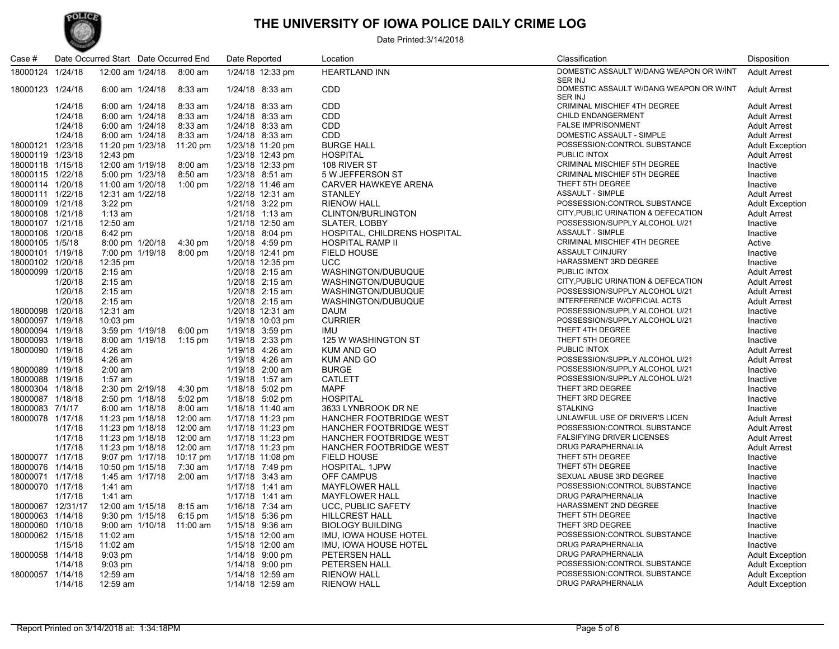

### **THE UNIVERSITY OF IOWA POLICE DAILY CRIME LOG**

#### Date Printed:3/14/2018

| Case #            |         | Date Occurred Start Date Occurred End |                   | Date Reported    | Location                       | Classification                                            | Disposition            |
|-------------------|---------|---------------------------------------|-------------------|------------------|--------------------------------|-----------------------------------------------------------|------------------------|
| 18000124 1/24/18  |         | 12:00 am 1/24/18                      | $8:00$ am         | 1/24/18 12:33 pm | <b>HEARTLAND INN</b>           | DOMESTIC ASSAULT W/DANG WEAPON OR W/INT<br><b>SER INJ</b> | <b>Adult Arrest</b>    |
| 18000123 1/24/18  |         | 6:00 am 1/24/18                       | 8:33 am           | 1/24/18 8:33 am  | <b>CDD</b>                     | DOMESTIC ASSAULT W/DANG WEAPON OR W/INT<br><b>SER INJ</b> | <b>Adult Arrest</b>    |
|                   | 1/24/18 | 6:00 am 1/24/18                       | 8:33 am           | 1/24/18 8:33 am  | <b>CDD</b>                     | <b>CRIMINAL MISCHIEF 4TH DEGREE</b>                       | <b>Adult Arrest</b>    |
|                   | 1/24/18 | 6:00 am 1/24/18                       | 8:33 am           | 1/24/18 8:33 am  | <b>CDD</b>                     | CHILD ENDANGERMENT                                        | <b>Adult Arrest</b>    |
|                   | 1/24/18 | 6:00 am 1/24/18                       | 8:33 am           | 1/24/18 8:33 am  | <b>CDD</b>                     | <b>FALSE IMPRISONMENT</b>                                 | <b>Adult Arrest</b>    |
|                   | 1/24/18 | 6:00 am 1/24/18                       | 8:33 am           | 1/24/18 8:33 am  | <b>CDD</b>                     | DOMESTIC ASSAULT - SIMPLE                                 | <b>Adult Arrest</b>    |
| 18000121 1/23/18  |         | 11:20 pm 1/23/18                      | 11:20 pm          | 1/23/18 11:20 pm | <b>BURGE HALL</b>              | POSSESSION:CONTROL SUBSTANCE                              | <b>Adult Exception</b> |
| 18000119 1/23/18  |         | 12:43 pm                              |                   | 1/23/18 12:43 pm | <b>HOSPITAL</b>                | <b>PUBLIC INTOX</b>                                       | <b>Adult Arrest</b>    |
| 18000118 1/15/18  |         | 12:00 am 1/19/18                      | 8:00 am           | 1/23/18 12:33 pm | 108 RIVER ST                   | CRIMINAL MISCHIEF 5TH DEGREE                              | Inactive               |
| 18000115 1/22/18  |         | 5:00 pm 1/23/18                       | 8:50 am           | 1/23/18 8:51 am  | 5 W JEFFERSON ST               | CRIMINAL MISCHIEF 5TH DEGREE                              | Inactive               |
| 18000114 1/20/18  |         | 11:00 am 1/20/18                      | $1:00$ pm         | 1/22/18 11:46 am | <b>CARVER HAWKEYE ARENA</b>    | THEFT 5TH DEGREE                                          | Inactive               |
| 18000111 1/22/18  |         | 12:31 am 1/22/18                      |                   | 1/22/18 12:31 am | <b>STANLEY</b>                 | <b>ASSAULT - SIMPLE</b>                                   | <b>Adult Arrest</b>    |
| 18000109 1/21/18  |         | $3:22$ pm                             |                   | 1/21/18 3:22 pm  | <b>RIENOW HALL</b>             | POSSESSION:CONTROL SUBSTANCE                              | <b>Adult Exception</b> |
| 18000108 1/21/18  |         | $1:13$ am                             |                   | 1/21/18 1:13 am  | <b>CLINTON/BURLINGTON</b>      | CITY, PUBLIC URINATION & DEFECATION                       | <b>Adult Arrest</b>    |
| 18000107 1/21/18  |         | 12:50 am                              |                   | 1/21/18 12:50 am | <b>SLATER, LOBBY</b>           | POSSESSION/SUPPLY ALCOHOL U/21                            | Inactive               |
| 18000106 1/20/18  |         | 6:42 pm                               |                   | 1/20/18 8:04 pm  | HOSPITAL, CHILDRENS HOSPITAL   | <b>ASSAULT - SIMPLE</b>                                   | Inactive               |
| 18000105 1/5/18   |         | 8:00 pm 1/20/18                       | 4:30 pm           | 1/20/18 4:59 pm  | HOSPITAL RAMP II               | <b>CRIMINAL MISCHIEF 4TH DEGREE</b>                       | Active                 |
| 18000101 1/19/18  |         | 7:00 pm 1/19/18                       | $8:00$ pm         | 1/20/18 12:41 pm | <b>FIELD HOUSE</b>             | ASSAULT C/INJURY                                          | Inactive               |
| 18000102 1/20/18  |         | 12:35 pm                              |                   | 1/20/18 12:35 pm | <b>UCC</b>                     | HARASSMENT 3RD DEGREE                                     | Inactive               |
| 18000099 1/20/18  |         | $2:15$ am                             |                   | 1/20/18 2:15 am  | WASHINGTON/DUBUQUE             | PUBLIC INTOX                                              | <b>Adult Arrest</b>    |
|                   | 1/20/18 | $2:15$ am                             |                   | 1/20/18 2:15 am  | WASHINGTON/DUBUQUE             | CITY, PUBLIC URINATION & DEFECATION                       | <b>Adult Arrest</b>    |
|                   | 1/20/18 | $2:15$ am                             |                   | 1/20/18 2:15 am  | WASHINGTON/DUBUQUE             | POSSESSION/SUPPLY ALCOHOL U/21                            | <b>Adult Arrest</b>    |
|                   | 1/20/18 | $2:15$ am                             |                   | 1/20/18 2:15 am  | WASHINGTON/DUBUQUE             | INTERFERENCE W/OFFICIAL ACTS                              | <b>Adult Arrest</b>    |
| 18000098 1/20/18  |         | 12:31 am                              |                   | 1/20/18 12:31 am | <b>DAUM</b>                    | POSSESSION/SUPPLY ALCOHOL U/21                            | Inactive               |
| 18000097 1/19/18  |         | 10:03 pm                              |                   | 1/19/18 10:03 pm | <b>CURRIER</b>                 | POSSESSION/SUPPLY ALCOHOL U/21                            | Inactive               |
| 18000094 1/19/18  |         | 3:59 pm 1/19/18                       | $6:00 \text{ pm}$ | 1/19/18 3:59 pm  | <b>IMU</b>                     | THEFT 4TH DEGREE                                          | Inactive               |
| 18000093 1/19/18  |         | 8:00 am 1/19/18                       | 1:15 pm           | 1/19/18 2:33 pm  | 125 W WASHINGTON ST            | THEFT 5TH DEGREE                                          | Inactive               |
| 18000090 1/19/18  |         | 4:26 am                               |                   | 1/19/18 4:26 am  | <b>KUM AND GO</b>              | PUBLIC INTOX                                              | <b>Adult Arrest</b>    |
|                   | 1/19/18 | 4:26 am                               |                   | 1/19/18 4:26 am  | <b>KUM AND GO</b>              | POSSESSION/SUPPLY ALCOHOL U/21                            | <b>Adult Arrest</b>    |
| 18000089 1/19/18  |         | $2:00 \text{ am}$                     |                   | 1/19/18 2:00 am  | <b>BURGE</b>                   | POSSESSION/SUPPLY ALCOHOL U/21                            | Inactive               |
| 18000088 1/19/18  |         | 1:57 am                               |                   | 1/19/18 1:57 am  | <b>CATLETT</b>                 | POSSESSION/SUPPLY ALCOHOL U/21                            | Inactive               |
| 18000304 1/18/18  |         | 2:30 pm 2/19/18                       | $4:30 \text{ pm}$ | 1/18/18 5:02 pm  | <b>MAPF</b>                    | THEFT 3RD DEGREE                                          | Inactive               |
| 18000087 1/18/18  |         | 2:50 pm 1/18/18                       | $5:02$ pm         | 1/18/18 5:02 pm  | <b>HOSPITAL</b>                | THEFT 3RD DEGREE                                          | Inactive               |
| 18000083 7/1/17   |         | 6:00 am 1/18/18                       | $8:00$ am         | 1/18/18 11:40 am | 3633 LYNBROOK DR NE            | <b>STALKING</b>                                           | Inactive               |
| 18000078 1/17/18  |         | 11:23 pm 1/18/18                      | 12:00 am          | 1/17/18 11:23 pm | HANCHER FOOTBRIDGE WEST        | UNLAWFUL USE OF DRIVER'S LICEN                            | <b>Adult Arrest</b>    |
|                   | 1/17/18 | 11:23 pm 1/18/18                      | 12:00 am          | 1/17/18 11:23 pm | HANCHER FOOTBRIDGE WEST        | POSSESSION:CONTROL SUBSTANCE                              | <b>Adult Arrest</b>    |
|                   | 1/17/18 | 11:23 pm 1/18/18                      | 12:00 am          | 1/17/18 11:23 pm | <b>HANCHER FOOTBRIDGE WEST</b> | <b>FALSIFYING DRIVER LICENSES</b>                         | <b>Adult Arrest</b>    |
|                   | 1/17/18 | 11:23 pm 1/18/18                      | 12:00 am          | 1/17/18 11:23 pm | HANCHER FOOTBRIDGE WEST        | <b>DRUG PARAPHERNALIA</b>                                 | <b>Adult Arrest</b>    |
| 18000077 1/17/18  |         | 9:07 pm 1/17/18                       | 10:17 pm          | 1/17/18 11:08 pm | <b>FIELD HOUSE</b>             | THEFT 5TH DEGREE                                          | Inactive               |
| 18000076 1/14/18  |         | 10:50 pm 1/15/18                      | 7:30 am           | 1/17/18 7:49 pm  | <b>HOSPITAL, 1JPW</b>          | THEFT 5TH DEGREE                                          | Inactive               |
| 18000071 1/17/18  |         | 1:45 am 1/17/18                       | $2:00$ am         | 1/17/18 3:43 am  | <b>OFF CAMPUS</b>              | SEXUAL ABUSE 3RD DEGREE                                   | Inactive               |
| 18000070 1/17/18  |         | 1:41 am                               |                   | 1/17/18 1:41 am  | <b>MAYFLOWER HALL</b>          | POSSESSION:CONTROL SUBSTANCE                              | Inactive               |
|                   | 1/17/18 | 1:41 am                               |                   | 1/17/18 1:41 am  | <b>MAYFLOWER HALL</b>          | <b>DRUG PARAPHERNALIA</b>                                 | Inactive               |
| 18000067 12/31/17 |         | 12:00 am 1/15/18                      | 8:15 am           | 1/16/18 7:34 am  | <b>UCC, PUBLIC SAFETY</b>      | HARASSMENT 2ND DEGREE                                     | Inactive               |
| 18000063 1/14/18  |         | 9:30 pm 1/15/18                       | $6:15$ pm         | 1/15/18 5:36 pm  | <b>HILLCREST HALL</b>          | THEFT 5TH DEGREE                                          | Inactive               |
| 18000060 1/10/18  |         | $9:00$ am $1/10/18$                   | 11:00 am          | 1/15/18 9:36 am  | <b>BIOLOGY BUILDING</b>        | THEFT 3RD DEGREE                                          | Inactive               |
| 18000062 1/15/18  |         | 11:02 am                              |                   | 1/15/18 12:00 am | IMU, IOWA HOUSE HOTEL          | POSSESSION:CONTROL SUBSTANCE                              | Inactive               |
|                   | 1/15/18 | 11:02 am                              |                   | 1/15/18 12:00 am | IMU, IOWA HOUSE HOTEL          | DRUG PARAPHERNALIA                                        | Inactive               |
| 18000058 1/14/18  |         | $9:03$ pm                             |                   | 1/14/18 9:00 pm  | PETERSEN HALL                  | DRUG PARAPHERNALIA<br>POSSESSION:CONTROL SUBSTANCE        | <b>Adult Exception</b> |
|                   | 1/14/18 | $9:03$ pm                             |                   | 1/14/18 9:00 pm  | PETERSEN HALL                  |                                                           | <b>Adult Exception</b> |
| 18000057 1/14/18  |         | 12:59 am                              |                   | 1/14/18 12:59 am | <b>RIENOW HALL</b>             | POSSESSION:CONTROL SUBSTANCE                              | <b>Adult Exception</b> |
|                   | 1/14/18 | 12:59 am                              |                   | 1/14/18 12:59 am | <b>RIENOW HALL</b>             | <b>DRUG PARAPHERNALIA</b>                                 | <b>Adult Exception</b> |